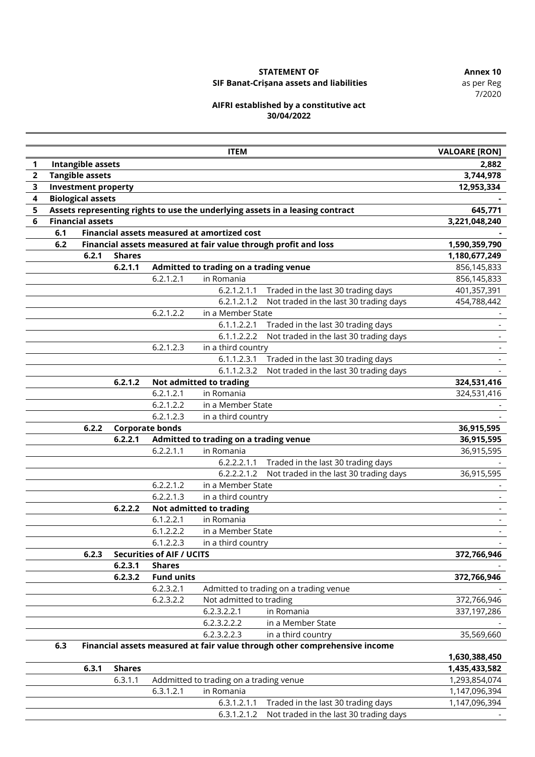7/2020

# **STATEMENT OF Annex 10**

### **SIF Banat-Crișana assets and liabilities**

#### **AIFRI established by a constitutive act 30/04/2022**

|                         |     |                            |               |                                  | <b>ITEM</b>                                 |                                                                               | <b>VALOARE [RON]</b> |
|-------------------------|-----|----------------------------|---------------|----------------------------------|---------------------------------------------|-------------------------------------------------------------------------------|----------------------|
| 1                       |     | <b>Intangible assets</b>   |               |                                  |                                             |                                                                               | 2,882                |
| $\overline{\mathbf{2}}$ |     | <b>Tangible assets</b>     |               |                                  |                                             |                                                                               | 3,744,978            |
| 3                       |     | <b>Investment property</b> |               |                                  |                                             |                                                                               | 12,953,334           |
| 4                       |     | <b>Biological assets</b>   |               |                                  |                                             |                                                                               |                      |
| 5                       |     |                            |               |                                  |                                             | Assets representing rights to use the underlying assets in a leasing contract | 645,771              |
| 6                       |     | <b>Financial assets</b>    |               |                                  |                                             |                                                                               | 3,221,048,240        |
|                         | 6.1 |                            |               |                                  | Financial assets measured at amortized cost |                                                                               |                      |
|                         | 6.2 |                            |               |                                  |                                             | Financial assets measured at fair value through profit and loss               | 1,590,359,790        |
|                         |     | 6.2.1                      | <b>Shares</b> |                                  |                                             |                                                                               | 1,180,677,249        |
|                         |     |                            | 6.2.1.1       |                                  | Admitted to trading on a trading venue      |                                                                               | 856,145,833          |
|                         |     |                            |               | 6.2.1.2.1                        | in Romania                                  |                                                                               | 856,145,833          |
|                         |     |                            |               |                                  | 6.2.1.2.1.1                                 | Traded in the last 30 trading days                                            | 401,357,391          |
|                         |     |                            |               |                                  | 6.2.1.2.1.2                                 | Not traded in the last 30 trading days                                        | 454,788,442          |
|                         |     |                            |               | 6.2.1.2.2                        | in a Member State                           |                                                                               |                      |
|                         |     |                            |               |                                  | 6.1.1.2.2.1                                 | Traded in the last 30 trading days                                            |                      |
|                         |     |                            |               |                                  | 6.1.1.2.2.2                                 | Not traded in the last 30 trading days                                        |                      |
|                         |     |                            |               | 6.2.1.2.3                        | in a third country                          |                                                                               |                      |
|                         |     |                            |               |                                  | 6.1.1.2.3.1                                 | Traded in the last 30 trading days                                            |                      |
|                         |     |                            |               |                                  | 6.1.1.2.3.2                                 | Not traded in the last 30 trading days                                        |                      |
|                         |     |                            | 6.2.1.2       |                                  | Not admitted to trading                     |                                                                               | 324,531,416          |
|                         |     |                            |               | 6.2.1.2.1                        | in Romania                                  |                                                                               | 324,531,416          |
|                         |     |                            |               | 6.2.1.2.2                        | in a Member State                           |                                                                               |                      |
|                         |     |                            |               | 6.2.1.2.3                        | in a third country                          |                                                                               |                      |
|                         |     | 6.2.2                      |               | <b>Corporate bonds</b>           |                                             |                                                                               | 36,915,595           |
|                         |     |                            | 6.2.2.1       |                                  | Admitted to trading on a trading venue      |                                                                               | 36,915,595           |
|                         |     |                            |               | 6.2.2.1.1                        | in Romania                                  |                                                                               | 36,915,595           |
|                         |     |                            |               |                                  | 6.2.2.2.1.1                                 | Traded in the last 30 trading days                                            |                      |
|                         |     |                            |               |                                  | 6.2.2.2.1.2                                 | Not traded in the last 30 trading days                                        | 36,915,595           |
|                         |     |                            |               | 6.2.2.1.2                        | in a Member State                           |                                                                               |                      |
|                         |     |                            |               | 6.2.2.1.3                        | in a third country                          |                                                                               |                      |
|                         |     |                            | 6.2.2.2       |                                  | Not admitted to trading                     |                                                                               |                      |
|                         |     |                            |               | 6.1.2.2.1                        | in Romania                                  |                                                                               |                      |
|                         |     |                            |               | 6.1.2.2.2                        | in a Member State                           |                                                                               |                      |
|                         |     |                            |               | 6.1.2.2.3                        | in a third country                          |                                                                               |                      |
|                         |     | 6.2.3                      |               | <b>Securities of AIF / UCITS</b> |                                             |                                                                               | 372,766,946          |
|                         |     |                            | 6.2.3.1       | <b>Shares</b>                    |                                             |                                                                               |                      |
|                         |     |                            | 6.2.3.2       | <b>Fund units</b>                |                                             |                                                                               | 372,766,946          |
|                         |     |                            |               | 6.2.3.2.1                        |                                             | Admitted to trading on a trading venue                                        |                      |
|                         |     |                            |               | 6.2.3.2.2                        | Not admitted to trading                     |                                                                               | 372,766,946          |
|                         |     |                            |               |                                  | 6.2.3.2.2.1                                 | in Romania                                                                    | 337,197,286          |
|                         |     |                            |               |                                  | 6.2.3.2.2.2                                 | in a Member State                                                             |                      |
|                         |     |                            |               |                                  | 6.2.3.2.2.3                                 | in a third country                                                            | 35,569,660           |
|                         | 6.3 |                            |               |                                  |                                             | Financial assets measured at fair value through other comprehensive income    |                      |
|                         |     |                            |               |                                  |                                             |                                                                               | 1,630,388,450        |
|                         |     | 6.3.1                      | <b>Shares</b> |                                  |                                             |                                                                               | 1,435,433,582        |
|                         |     |                            | 6.3.1.1       |                                  | Addmitted to trading on a trading venue     |                                                                               | 1,293,854,074        |
|                         |     |                            |               | 6.3.1.2.1                        | in Romania                                  |                                                                               | 1,147,096,394        |
|                         |     |                            |               |                                  | 6.3.1.2.1.1                                 | Traded in the last 30 trading days                                            | 1,147,096,394        |
|                         |     |                            |               |                                  | 6.3.1.2.1.2                                 | Not traded in the last 30 trading days                                        |                      |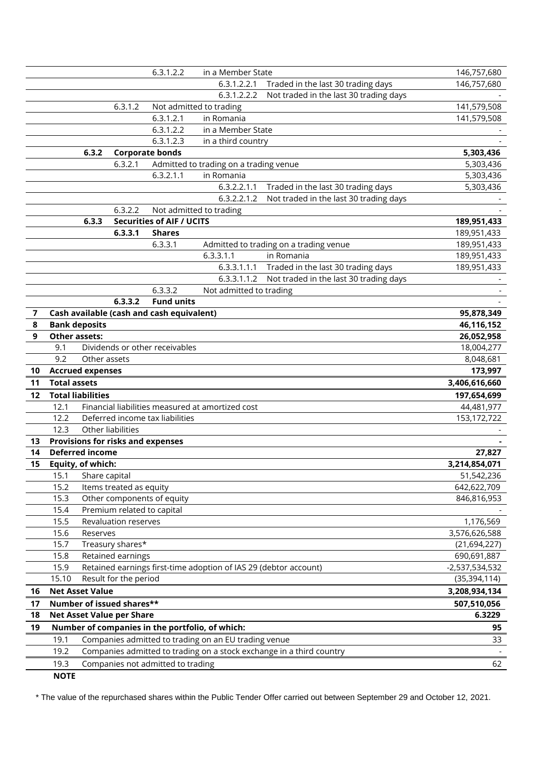|                |                        |                          |                                  | 6.3.1.2.2                                 | in a Member State                                                |                                                                      | 146,757,680    |
|----------------|------------------------|--------------------------|----------------------------------|-------------------------------------------|------------------------------------------------------------------|----------------------------------------------------------------------|----------------|
|                |                        |                          |                                  |                                           | 6.3.1.2.2.1                                                      | Traded in the last 30 trading days                                   | 146,757,680    |
|                |                        |                          |                                  |                                           | 6.3.1.2.2.2                                                      | Not traded in the last 30 trading days                               |                |
|                |                        |                          | 6.3.1.2                          |                                           | Not admitted to trading                                          |                                                                      | 141,579,508    |
|                |                        |                          |                                  | 6.3.1.2.1                                 | in Romania                                                       |                                                                      | 141,579,508    |
|                |                        |                          |                                  | 6.3.1.2.2                                 | in a Member State                                                |                                                                      |                |
|                |                        |                          |                                  | 6.3.1.2.3                                 | in a third country                                               |                                                                      |                |
|                |                        | 6.3.2                    |                                  | <b>Corporate bonds</b>                    |                                                                  |                                                                      | 5,303,436      |
|                |                        |                          | 6.3.2.1                          |                                           | Admitted to trading on a trading venue                           |                                                                      | 5,303,436      |
|                |                        |                          |                                  | 6.3.2.1.1                                 | in Romania                                                       |                                                                      | 5,303,436      |
|                |                        |                          |                                  |                                           | 6.3.2.2.1.1                                                      | Traded in the last 30 trading days                                   | 5,303,436      |
|                |                        |                          |                                  |                                           | 6.3.2.2.1.2                                                      | Not traded in the last 30 trading days                               |                |
|                |                        |                          | 6.3.2.2                          |                                           | Not admitted to trading                                          |                                                                      |                |
|                |                        | 6.3.3                    |                                  | <b>Securities of AIF / UCITS</b>          |                                                                  |                                                                      | 189,951,433    |
|                |                        |                          | 6.3.3.1                          | <b>Shares</b>                             |                                                                  |                                                                      | 189,951,433    |
|                |                        |                          |                                  | 6.3.3.1                                   |                                                                  | Admitted to trading on a trading venue                               | 189,951,433    |
|                |                        |                          |                                  |                                           | 6.3.3.1.1                                                        | in Romania                                                           | 189,951,433    |
|                |                        |                          |                                  |                                           |                                                                  | 6.3.3.1.1.1 Traded in the last 30 trading days                       | 189,951,433    |
|                |                        |                          |                                  |                                           | 6.3.3.1.1.2                                                      | Not traded in the last 30 trading days                               |                |
|                |                        |                          |                                  | 6.3.3.2                                   | Not admitted to trading                                          |                                                                      |                |
|                |                        |                          | 6.3.3.2                          | <b>Fund units</b>                         |                                                                  |                                                                      |                |
| $\overline{7}$ |                        |                          |                                  | Cash available (cash and cash equivalent) |                                                                  |                                                                      | 95,878,349     |
| 8              |                        | <b>Bank deposits</b>     |                                  |                                           |                                                                  |                                                                      | 46,116,152     |
| 9              |                        | <b>Other assets:</b>     |                                  |                                           |                                                                  |                                                                      | 26,052,958     |
|                | 9.1                    |                          |                                  | Dividends or other receivables            |                                                                  |                                                                      | 18,004,277     |
|                | 9.2                    | Other assets             |                                  |                                           |                                                                  |                                                                      | 8,048,681      |
| 10             |                        | <b>Accrued expenses</b>  |                                  |                                           |                                                                  |                                                                      | 173,997        |
| 11             | <b>Total assets</b>    |                          |                                  |                                           |                                                                  |                                                                      | 3,406,616,660  |
| 12             |                        | <b>Total liabilities</b> |                                  |                                           |                                                                  |                                                                      | 197,654,699    |
|                | 12.1                   |                          |                                  |                                           | Financial liabilities measured at amortized cost                 |                                                                      | 44,481,977     |
|                | 12.2                   |                          |                                  | Deferred income tax liabilities           |                                                                  |                                                                      | 153,172,722    |
|                | 12.3                   |                          | Other liabilities                |                                           |                                                                  |                                                                      |                |
| 13             |                        |                          |                                  | Provisions for risks and expenses         |                                                                  |                                                                      |                |
| 14             | <b>Deferred income</b> |                          |                                  |                                           |                                                                  | 27,827                                                               |                |
| 15             |                        | Equity, of which:        |                                  |                                           |                                                                  |                                                                      | 3,214,854,071  |
|                | 15.1                   | Share capital            |                                  |                                           |                                                                  |                                                                      | 51,542,236     |
|                | 15.2                   |                          | Items treated as equity          |                                           |                                                                  |                                                                      | 642,622,709    |
|                | 15.3                   |                          |                                  | Other components of equity                |                                                                  |                                                                      | 846,816,953    |
|                | 15.4                   |                          |                                  | Premium related to capital                |                                                                  |                                                                      |                |
|                | 15.5                   |                          | Revaluation reserves             |                                           |                                                                  |                                                                      | 1,176,569      |
|                | 15.6                   | Reserves                 |                                  |                                           |                                                                  |                                                                      | 3,576,626,588  |
|                | 15.7                   |                          | Treasury shares*                 |                                           |                                                                  |                                                                      | (21, 694, 227) |
|                | 15.8                   |                          | Retained earnings                |                                           |                                                                  |                                                                      | 690,691,887    |
|                | 15.9                   |                          |                                  |                                           | Retained earnings first-time adoption of IAS 29 (debtor account) |                                                                      | -2,537,534,532 |
|                | 15.10                  |                          | Result for the period            |                                           |                                                                  |                                                                      | (35, 394, 114) |
| 16             |                        | <b>Net Asset Value</b>   |                                  |                                           |                                                                  |                                                                      | 3,208,934,134  |
| 17             |                        |                          | Number of issued shares**        |                                           |                                                                  |                                                                      | 507,510,056    |
| 18             |                        |                          | <b>Net Asset Value per Share</b> |                                           |                                                                  |                                                                      | 6.3229         |
| 19             |                        |                          |                                  |                                           | Number of companies in the portfolio, of which:                  |                                                                      | 95             |
|                | 19.1                   |                          |                                  |                                           | Companies admitted to trading on an EU trading venue             |                                                                      | 33             |
|                | 19.2                   |                          |                                  |                                           |                                                                  | Companies admitted to trading on a stock exchange in a third country |                |
|                | 19.3                   |                          |                                  | Companies not admitted to trading         |                                                                  |                                                                      | 62             |
|                |                        |                          |                                  |                                           |                                                                  |                                                                      |                |
|                | <b>NOTE</b>            |                          |                                  |                                           |                                                                  |                                                                      |                |

\* The value of the repurchased shares within the Public Tender Offer carried out between September 29 and October 12, 2021.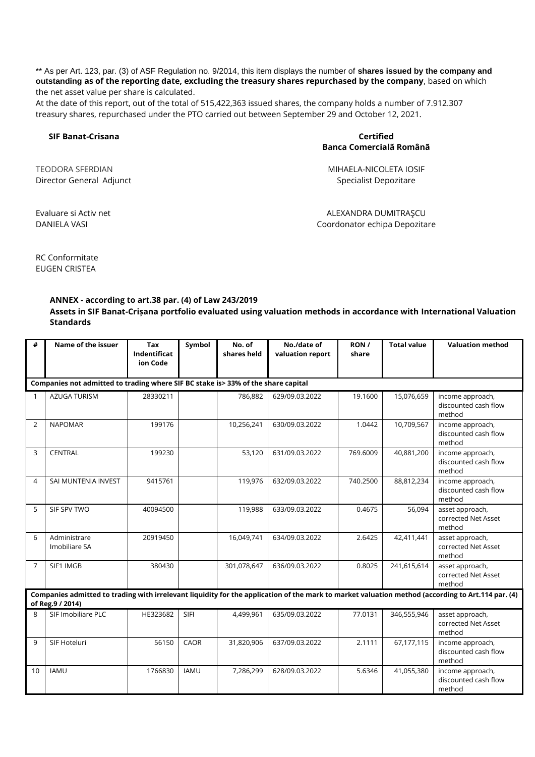\*\* As per Art. 123, par. (3) of ASF Regulation no. 9/2014, this item displays the number of **shares issued by the company and outstanding as of the reporting date, excluding the treasury shares repurchased by the company**, based on which the net asset value per share is calculated.

At the date of this report, out of the total of 515,422,363 issued shares, the company holds a number of 7.912.307 treasury shares, repurchased under the PTO carried out between September 29 and October 12, 2021.

#### **SIF Banat-Crisana Certified**

## **Banca Comercialã Românã**

Director General Adjunct **Specialist Depozitare** Specialist Depozitare

TEODORA SFERDIAN MIHAELA-NICOLETA IOSIF

Evaluare si Activ net ALEXANDRA DUMITRAŞCU DANIELA VASI Coordonator echipa Depozitare

RC Conformitate EUGEN CRISTEA

#### **ANNEX - according to art.38 par. (4) of Law 243/2019**

**Assets in SIF Banat-Crișana portfolio evaluated using valuation methods in accordance with International Valuation Standards**

| #            | Name of the issuer                                                                                                                                                     | Tax<br>Indentificat<br>ion Code | Symbol      | No. of<br>shares held | No./date of<br>valuation report | RON/<br>share | <b>Total value</b> | <b>Valuation method</b>                            |
|--------------|------------------------------------------------------------------------------------------------------------------------------------------------------------------------|---------------------------------|-------------|-----------------------|---------------------------------|---------------|--------------------|----------------------------------------------------|
|              | Companies not admitted to trading where SIF BC stake is> 33% of the share capital                                                                                      |                                 |             |                       |                                 |               |                    |                                                    |
| $\mathbf{1}$ | <b>AZUGA TURISM</b>                                                                                                                                                    | 28330211                        |             | 786,882               | 629/09.03.2022                  | 19.1600       | 15,076,659         | income approach,<br>discounted cash flow<br>method |
| 2            | <b>NAPOMAR</b>                                                                                                                                                         | 199176                          |             | 10,256,241            | 630/09.03.2022                  | 1.0442        | 10,709,567         | income approach,<br>discounted cash flow<br>method |
| 3            | <b>CENTRAL</b>                                                                                                                                                         | 199230                          |             | 53,120                | 631/09.03.2022                  | 769.6009      | 40,881,200         | income approach,<br>discounted cash flow<br>method |
| 4            | SAI MUNTENIA INVEST                                                                                                                                                    | 9415761                         |             | 119,976               | 632/09.03.2022                  | 740.2500      | 88,812,234         | income approach,<br>discounted cash flow<br>method |
| 5            | SIF SPV TWO                                                                                                                                                            | 40094500                        |             | 119,988               | 633/09.03.2022                  | 0.4675        | 56,094             | asset approach,<br>corrected Net Asset<br>method   |
| 6            | Administrare<br>Imobiliare SA                                                                                                                                          | 20919450                        |             | 16,049,741            | 634/09.03.2022                  | 2.6425        | 42,411,441         | asset approach,<br>corrected Net Asset<br>method   |
| 7            | SIF1 IMGB                                                                                                                                                              | 380430                          |             | 301,078,647           | 636/09.03.2022                  | 0.8025        | 241,615,614        | asset approach,<br>corrected Net Asset<br>method   |
|              | Companies admitted to trading with irrelevant liquidity for the application of the mark to market valuation method (according to Art.114 par. (4)<br>of Reg. 9 / 2014) |                                 |             |                       |                                 |               |                    |                                                    |
| $\mathsf{R}$ | SIF Imobiliare PLC                                                                                                                                                     | HE323682                        | SIFI        | 4,499,961             | 635/09.03.2022                  | 77.0131       | 346,555,946        | asset approach,<br>corrected Net Asset<br>method   |
| $\mathbf{q}$ | SIF Hoteluri                                                                                                                                                           | 56150                           | CAOR        | 31,820,906            | 637/09.03.2022                  | 2.1111        | 67,177,115         | income approach,<br>discounted cash flow<br>method |
| 10           | <b>IAMU</b>                                                                                                                                                            | 1766830                         | <b>IAMU</b> | 7,286,299             | 628/09.03.2022                  | 5.6346        | 41,055,380         | income approach,<br>discounted cash flow<br>method |